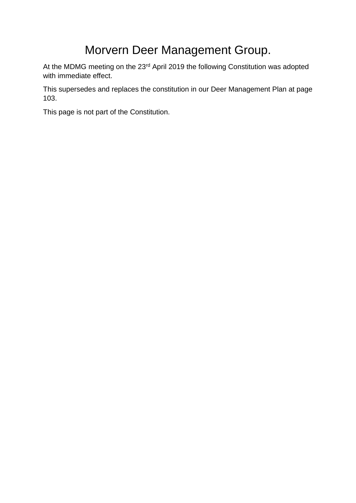# Morvern Deer Management Group.

At the MDMG meeting on the 23<sup>rd</sup> April 2019 the following Constitution was adopted with immediate effect.

This supersedes and replaces the constitution in our Deer Management Plan at page 103.

This page is not part of the Constitution.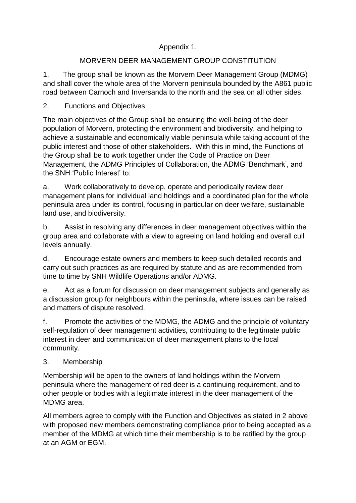## Appendix 1.

## MORVERN DEER MANAGEMENT GROUP CONSTITUTION

1. The group shall be known as the Morvern Deer Management Group (MDMG) and shall cover the whole area of the Morvern peninsula bounded by the A861 public road between Carnoch and Inversanda to the north and the sea on all other sides.

## 2. Functions and Objectives

The main objectives of the Group shall be ensuring the well-being of the deer population of Morvern, protecting the environment and biodiversity, and helping to achieve a sustainable and economically viable peninsula while taking account of the public interest and those of other stakeholders. With this in mind, the Functions of the Group shall be to work together under the Code of Practice on Deer Management, the ADMG Principles of Collaboration, the ADMG 'Benchmark', and the SNH 'Public Interest' to:

a. Work collaboratively to develop, operate and periodically review deer management plans for individual land holdings and a coordinated plan for the whole peninsula area under its control, focusing in particular on deer welfare, sustainable land use, and biodiversity.

b. Assist in resolving any differences in deer management objectives within the group area and collaborate with a view to agreeing on land holding and overall cull levels annually.

d. Encourage estate owners and members to keep such detailed records and carry out such practices as are required by statute and as are recommended from time to time by SNH Wildlife Operations and/or ADMG.

e. Act as a forum for discussion on deer management subjects and generally as a discussion group for neighbours within the peninsula, where issues can be raised and matters of dispute resolved.

f. Promote the activities of the MDMG, the ADMG and the principle of voluntary self-regulation of deer management activities, contributing to the legitimate public interest in deer and communication of deer management plans to the local community.

#### 3. Membership

Membership will be open to the owners of land holdings within the Morvern peninsula where the management of red deer is a continuing requirement, and to other people or bodies with a legitimate interest in the deer management of the MDMG area.

All members agree to comply with the Function and Objectives as stated in 2 above with proposed new members demonstrating compliance prior to being accepted as a member of the MDMG at which time their membership is to be ratified by the group at an AGM or EGM.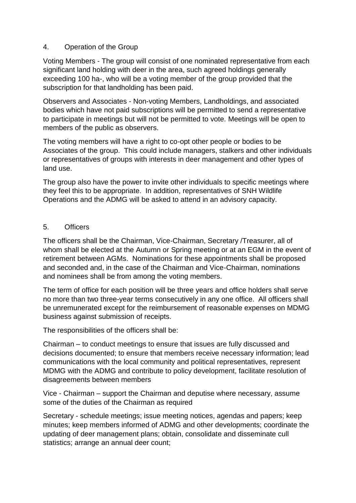#### 4. Operation of the Group

Voting Members - The group will consist of one nominated representative from each significant land holding with deer in the area, such agreed holdings generally exceeding 100 ha-, who will be a voting member of the group provided that the subscription for that landholding has been paid.

Observers and Associates - Non-voting Members, Landholdings, and associated bodies which have not paid subscriptions will be permitted to send a representative to participate in meetings but will not be permitted to vote. Meetings will be open to members of the public as observers.

The voting members will have a right to co-opt other people or bodies to be Associates of the group. This could include managers, stalkers and other individuals or representatives of groups with interests in deer management and other types of land use.

The group also have the power to invite other individuals to specific meetings where they feel this to be appropriate. In addition, representatives of SNH Wildlife Operations and the ADMG will be asked to attend in an advisory capacity.

#### 5. Officers

The officers shall be the Chairman, Vice-Chairman, Secretary /Treasurer, all of whom shall be elected at the Autumn or Spring meeting or at an EGM in the event of retirement between AGMs. Nominations for these appointments shall be proposed and seconded and, in the case of the Chairman and Vice-Chairman, nominations and nominees shall be from among the voting members.

The term of office for each position will be three years and office holders shall serve no more than two three-year terms consecutively in any one office. All officers shall be unremunerated except for the reimbursement of reasonable expenses on MDMG business against submission of receipts.

The responsibilities of the officers shall be:

Chairman – to conduct meetings to ensure that issues are fully discussed and decisions documented; to ensure that members receive necessary information; lead communications with the local community and political representatives, represent MDMG with the ADMG and contribute to policy development, facilitate resolution of disagreements between members

Vice - Chairman – support the Chairman and deputise where necessary, assume some of the duties of the Chairman as required

Secretary - schedule meetings; issue meeting notices, agendas and papers; keep minutes; keep members informed of ADMG and other developments; coordinate the updating of deer management plans; obtain, consolidate and disseminate cull statistics; arrange an annual deer count;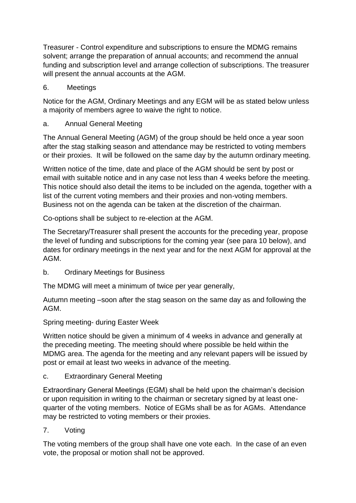Treasurer - Control expenditure and subscriptions to ensure the MDMG remains solvent; arrange the preparation of annual accounts; and recommend the annual funding and subscription level and arrange collection of subscriptions. The treasurer will present the annual accounts at the AGM.

6. Meetings

Notice for the AGM, Ordinary Meetings and any EGM will be as stated below unless a majority of members agree to waive the right to notice.

a. Annual General Meeting

The Annual General Meeting (AGM) of the group should be held once a year soon after the stag stalking season and attendance may be restricted to voting members or their proxies. It will be followed on the same day by the autumn ordinary meeting.

Written notice of the time, date and place of the AGM should be sent by post or email with suitable notice and in any case not less than 4 weeks before the meeting. This notice should also detail the items to be included on the agenda, together with a list of the current voting members and their proxies and non-voting members. Business not on the agenda can be taken at the discretion of the chairman.

Co-options shall be subject to re-election at the AGM.

The Secretary/Treasurer shall present the accounts for the preceding year, propose the level of funding and subscriptions for the coming year (see para 10 below), and dates for ordinary meetings in the next year and for the next AGM for approval at the AGM.

b. Ordinary Meetings for Business

The MDMG will meet a minimum of twice per year generally,

Autumn meeting –soon after the stag season on the same day as and following the AGM.

Spring meeting- during Easter Week

Written notice should be given a minimum of 4 weeks in advance and generally at the preceding meeting. The meeting should where possible be held within the MDMG area. The agenda for the meeting and any relevant papers will be issued by post or email at least two weeks in advance of the meeting.

c. Extraordinary General Meeting

Extraordinary General Meetings (EGM) shall be held upon the chairman's decision or upon requisition in writing to the chairman or secretary signed by at least onequarter of the voting members. Notice of EGMs shall be as for AGMs. Attendance may be restricted to voting members or their proxies.

7. Voting

The voting members of the group shall have one vote each. In the case of an even vote, the proposal or motion shall not be approved.